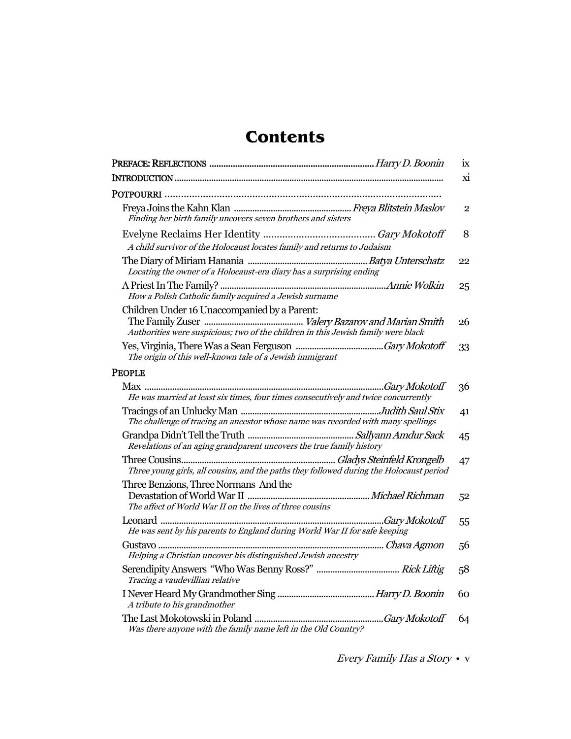## **Contents**

|                                                                                                                                                                                                          | ix             |
|----------------------------------------------------------------------------------------------------------------------------------------------------------------------------------------------------------|----------------|
|                                                                                                                                                                                                          | $\overline{M}$ |
|                                                                                                                                                                                                          |                |
| Finding her birth family uncovers seven brothers and sisters                                                                                                                                             | $\overline{2}$ |
| A child survivor of the Holocaust locates family and returns to Judaism                                                                                                                                  | 8              |
| Locating the owner of a Holocaust-era diary has a surprising ending                                                                                                                                      | 22             |
| How a Polish Catholic family acquired a Jewish surname                                                                                                                                                   | 25             |
| Children Under 16 Unaccompanied by a Parent:<br>Authorities were suspicious; two of the children in this Jewish family were black                                                                        | 26             |
| The origin of this well-known tale of a Jewish immigrant                                                                                                                                                 | 33             |
| <b>PEOPLE</b>                                                                                                                                                                                            |                |
| He was married at least six times, four times consecutively and twice concurrently                                                                                                                       | 36             |
| The challenge of tracing an ancestor whose name was recorded with many spellings                                                                                                                         | 41             |
| Revelations of an aging grandparent uncovers the true family history                                                                                                                                     | 45             |
| Three young girls, all cousins, and the paths they followed during the Holocaust period                                                                                                                  | 47             |
| Three Benzions, Three Normans And the<br>mee Benzions, Three Normans Take the Contract of the Contract of North Presentation of World War II<br>The affect of World War II on the lives of three cousins | 52             |
| He was sent by his parents to England during World War II for safe keeping                                                                                                                               | 55             |
| Helping a Christian uncover his distinguished Jewish ancestry                                                                                                                                            | 56             |
| Tracing a vaudevillian relative                                                                                                                                                                          | 58             |
| A tribute to his grandmother                                                                                                                                                                             | 60             |
| Was there anyone with the family name left in the Old Country?                                                                                                                                           | 64             |

Every Family Has a Story • v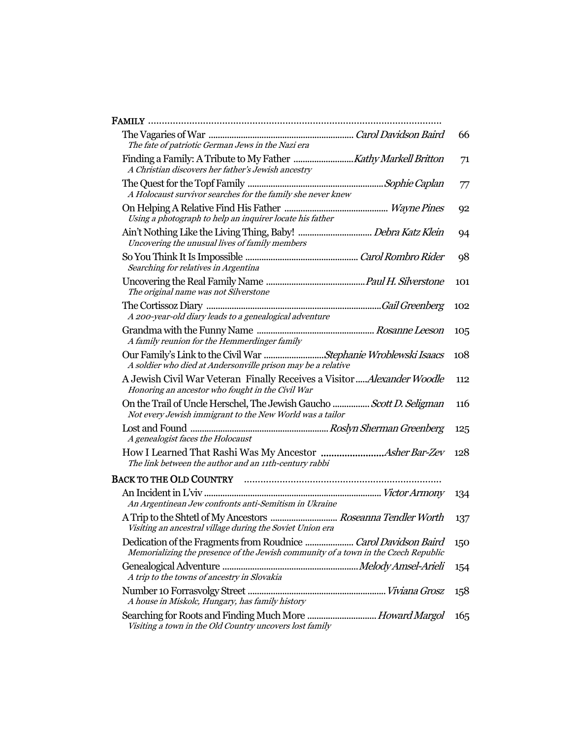| The fate of patriotic German Jews in the Nazi era                                                                                | 66  |
|----------------------------------------------------------------------------------------------------------------------------------|-----|
| A Christian discovers her father's Jewish ancestry                                                                               | 71  |
| A Holocaust survivor searches for the family she never knew                                                                      | 77  |
| Using a photograph to help an inquirer locate his father                                                                         | 92  |
| Uncovering the unusual lives of family members                                                                                   | 94  |
| Searching for relatives in Argentina                                                                                             | 98  |
| The original name was not Silverstone                                                                                            | 101 |
| A 200-year-old diary leads to a genealogical adventure                                                                           | 102 |
| A family reunion for the Hemmerdinger family                                                                                     | 105 |
| Our Family's Link to the Civil War Stephanie Wroblewski Isaacs<br>A soldier who died at Andersonville prison may be a relative   | 108 |
| A Jewish Civil War Veteran Finally Receives a Visitor  Alexander Woodle<br>Honoring an ancestor who fought in the Civil War      | 112 |
| On the Trail of Uncle Herschel, The Jewish Gaucho  Scott D. Seligman<br>Not every Jewish immigrant to the New World was a tailor | 116 |
| A genealogist faces the Holocaust                                                                                                | 125 |
| The link between the author and an 11th-century rabbi                                                                            | 128 |
|                                                                                                                                  |     |
| An Argentinean Jew confronts anti-Semitism in Ukraine                                                                            | 134 |
| A Trip to the Shtetl of My Ancestors  Roseanna Tendler Worth<br>Visiting an ancestral village during the Soviet Union era        | 137 |
| Memorializing the presence of the Jewish community of a town in the Czech Republic                                               | 150 |
| A trip to the towns of ancestry in Slovakia                                                                                      | 154 |
| A house in Miskolc, Hungary, has family history                                                                                  | 158 |
| Searching for Roots and Finding Much More  Howard Margol<br>Visiting a town in the Old Country uncovers lost family              | 165 |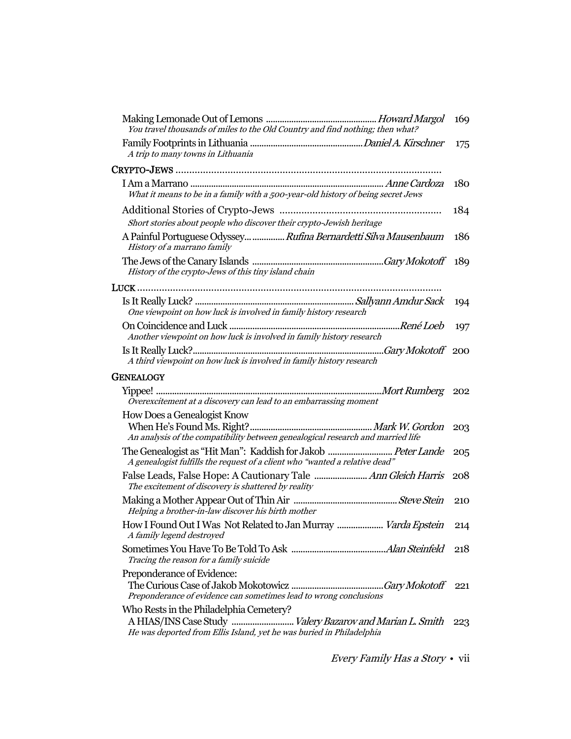| You travel thousands of miles to the Old Country and find nothing; then what?                                        | 169        |
|----------------------------------------------------------------------------------------------------------------------|------------|
| A trip to many towns in Lithuania                                                                                    | 175        |
|                                                                                                                      |            |
| What it means to be in a family with a 500-year-old history of being secret Jews                                     | <b>180</b> |
| Short stories about people who discover their crypto-Jewish heritage                                                 | 184        |
| A Painful Portuguese Odyssey  Rufina Bernardetti Silva Mausenbaum<br>History of a marrano family                     | 186        |
| History of the crypto-Jews of this tiny island chain                                                                 |            |
|                                                                                                                      |            |
| One viewpoint on how luck is involved in family history research                                                     | 194        |
| Another viewpoint on how luck is involved in family history research                                                 | 197        |
| A third viewpoint on how luck is involved in family history research                                                 |            |
| <b>GENEALOGY</b>                                                                                                     |            |
| Overexcitement at a discovery can lead to an embarrassing moment                                                     |            |
| How Does a Genealogist Know                                                                                          |            |
| An analysis of the compatibility between genealogical research and married life                                      | 203        |
| A genealogist fulfills the request of a client who "wanted a relative dead"                                          | 205        |
| False Leads, False Hope: A Cautionary Tale  Ann Gleich Harris<br>The excitement of discovery is shattered by reality | -208       |
| Helping a brother-in-law discover his birth mother                                                                   | 210        |
| How I Found Out I Was Not Related to Jan Murray  Varda Epstein<br>A family legend destroyed                          | 214        |
| Tracing the reason for a family suicide                                                                              |            |
| Preponderance of Evidence:                                                                                           |            |
| Preponderance of evidence can sometimes lead to wrong conclusions                                                    |            |
| Who Rests in the Philadelphia Cemetery?<br>He was deported from Ellis Island, yet he was buried in Philadelphia      | 223        |

Every Family Has a Story • vii